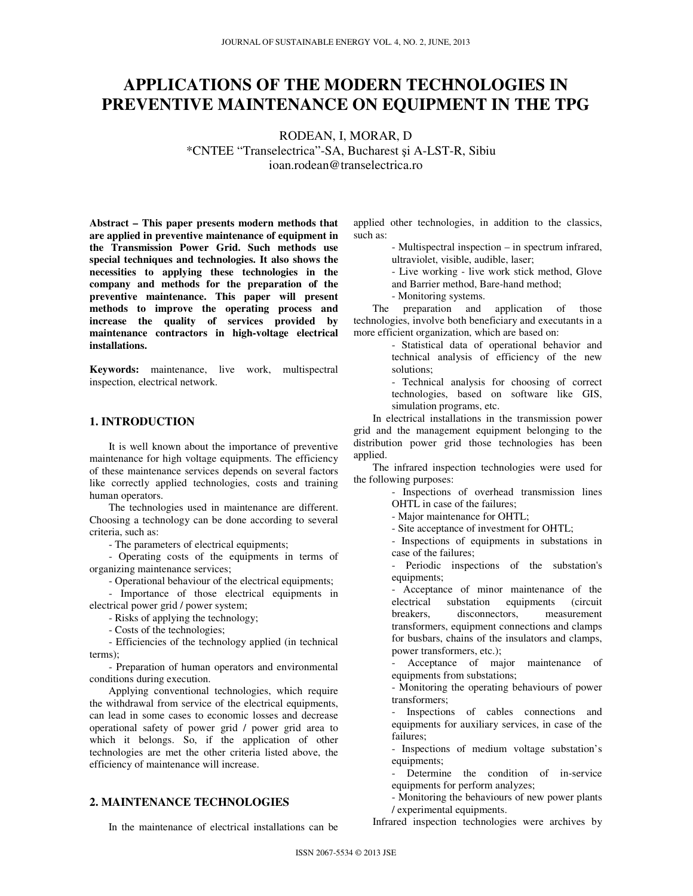# **APPLICATIONS OF THE MODERN TECHNOLOGIES IN PREVENTIVE MAINTENANCE ON EQUIPMENT IN THE TPG**

RODEAN, I, MORAR, D \*CNTEE "Transelectrica"-SA, Bucharest şi A-LST-R, Sibiu ioan.rodean@transelectrica.ro

**Abstract – This paper presents modern methods that are applied in preventive maintenance of equipment in the Transmission Power Grid. Such methods use special techniques and technologies. It also shows the necessities to applying these technologies in the company and methods for the preparation of the preventive maintenance. This paper will present methods to improve the operating process and increase the quality of services provided by maintenance contractors in high-voltage electrical installations.** 

**Keywords:** maintenance, live work, multispectral inspection, electrical network.

### **1. INTRODUCTION**

It is well known about the importance of preventive maintenance for high voltage equipments. The efficiency of these maintenance services depends on several factors like correctly applied technologies, costs and training human operators.

The technologies used in maintenance are different. Choosing a technology can be done according to several criteria, such as:

- The parameters of electrical equipments;

- Operating costs of the equipments in terms of organizing maintenance services;

- Operational behaviour of the electrical equipments;

- Importance of those electrical equipments in electrical power grid / power system;

- Risks of applying the technology;

- Costs of the technologies;

- Efficiencies of the technology applied (in technical terms);

- Preparation of human operators and environmental conditions during execution.

Applying conventional technologies, which require the withdrawal from service of the electrical equipments, can lead in some cases to economic losses and decrease operational safety of power grid / power grid area to which it belongs. So, if the application of other technologies are met the other criteria listed above, the efficiency of maintenance will increase.

## **2. MAINTENANCE TECHNOLOGIES**

In the maintenance of electrical installations can be

applied other technologies, in addition to the classics, such as:

> - Multispectral inspection – in spectrum infrared, ultraviolet, visible, audible, laser;

- Live working - live work stick method, Glove

and Barrier method, Bare-hand method;

- Monitoring systems.

The preparation and application of those technologies, involve both beneficiary and executants in a more efficient organization, which are based on:

> - Statistical data of operational behavior and technical analysis of efficiency of the new solutions;

Technical analysis for choosing of correct technologies, based on software like GIS, simulation programs, etc.

In electrical installations in the transmission power grid and the management equipment belonging to the distribution power grid those technologies has been applied.

The infrared inspection technologies were used for the following purposes:

> - Inspections of overhead transmission lines OHTL in case of the failures;

- Major maintenance for OHTL;

- Site acceptance of investment for OHTL;

- Inspections of equipments in substations in case of the failures;

- Periodic inspections of the substation's equipments;

- Acceptance of minor maintenance of the electrical substation equipments (circuit breakers, disconnectors, measurement transformers, equipment connections and clamps for busbars, chains of the insulators and clamps, power transformers, etc.);

Acceptance of major maintenance of equipments from substations;

- Monitoring the operating behaviours of power transformers;

- Inspections of cables connections and equipments for auxiliary services, in case of the failures;

- Inspections of medium voltage substation's equipments;

- Determine the condition of in-service equipments for perform analyzes;

- Monitoring the behaviours of new power plants / experimental equipments.

Infrared inspection technologies were archives by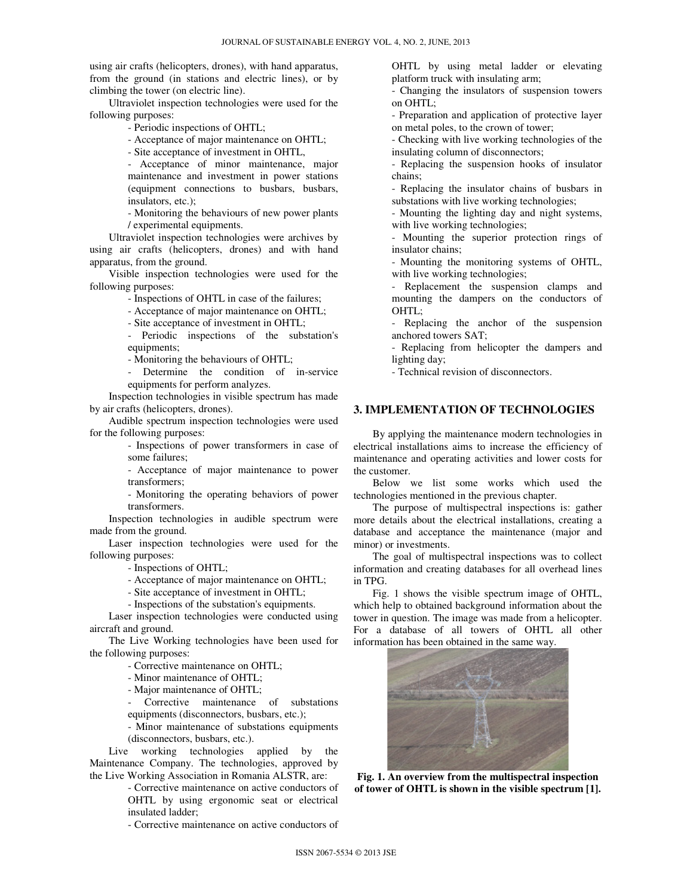using air crafts (helicopters, drones), with hand apparatus, from the ground (in stations and electric lines), or by climbing the tower (on electric line).

Ultraviolet inspection technologies were used for the following purposes:

- Periodic inspections of OHTL;

- Acceptance of major maintenance on OHTL;

- Site acceptance of investment in OHTL,

- Acceptance of minor maintenance, major maintenance and investment in power stations (equipment connections to busbars, busbars, insulators, etc.);

- Monitoring the behaviours of new power plants / experimental equipments.

Ultraviolet inspection technologies were archives by using air crafts (helicopters, drones) and with hand apparatus, from the ground.

Visible inspection technologies were used for the following purposes:

- Inspections of OHTL in case of the failures;

- Acceptance of major maintenance on OHTL;

- Site acceptance of investment in OHTL;

- Periodic inspections of the substation's equipments;

- Monitoring the behaviours of OHTL;

- Determine the condition of in-service equipments for perform analyzes.

Inspection technologies in visible spectrum has made by air crafts (helicopters, drones).

Audible spectrum inspection technologies were used for the following purposes:

> - Inspections of power transformers in case of some failures;

> - Acceptance of major maintenance to power transformers;

> - Monitoring the operating behaviors of power transformers.

Inspection technologies in audible spectrum were made from the ground.

Laser inspection technologies were used for the following purposes:

- Inspections of OHTL;

- Acceptance of major maintenance on OHTL;

- Site acceptance of investment in OHTL;

- Inspections of the substation's equipments.

Laser inspection technologies were conducted using aircraft and ground.

The Live Working technologies have been used for the following purposes:

- Corrective maintenance on OHTL;

- Minor maintenance of OHTL;

- Major maintenance of OHTL;

Corrective maintenance of substations equipments (disconnectors, busbars, etc.);

- Minor maintenance of substations equipments (disconnectors, busbars, etc.).

Live working technologies applied by the Maintenance Company. The technologies, approved by the Live Working Association in Romania ALSTR, are:

> - Corrective maintenance on active conductors of OHTL by using ergonomic seat or electrical insulated ladder;

> - Corrective maintenance on active conductors of

OHTL by using metal ladder or elevating platform truck with insulating arm;

- Changing the insulators of suspension towers on OHTL;

- Preparation and application of protective layer on metal poles, to the crown of tower;

- Checking with live working technologies of the insulating column of disconnectors;

- Replacing the suspension hooks of insulator chains;

- Replacing the insulator chains of busbars in substations with live working technologies;

- Mounting the lighting day and night systems, with live working technologies;

Mounting the superior protection rings of insulator chains;

- Mounting the monitoring systems of OHTL, with live working technologies;

Replacement the suspension clamps and mounting the dampers on the conductors of OHTL;

- Replacing the anchor of the suspension anchored towers SAT;

- Replacing from helicopter the dampers and lighting day;

- Technical revision of disconnectors.

## **3. IMPLEMENTATION OF TECHNOLOGIES**

By applying the maintenance modern technologies in electrical installations aims to increase the efficiency of maintenance and operating activities and lower costs for the customer.

Below we list some works which used the technologies mentioned in the previous chapter.

The purpose of multispectral inspections is: gather more details about the electrical installations, creating a database and acceptance the maintenance (major and minor) or investments.

The goal of multispectral inspections was to collect information and creating databases for all overhead lines in TPG.

Fig. 1 shows the visible spectrum image of OHTL, which help to obtained background information about the tower in question. The image was made from a helicopter. For a database of all towers of OHTL all other information has been obtained in the same way.



**Fig. 1. An overview from the multispectral inspection of tower of OHTL is shown in the visible spectrum [1].**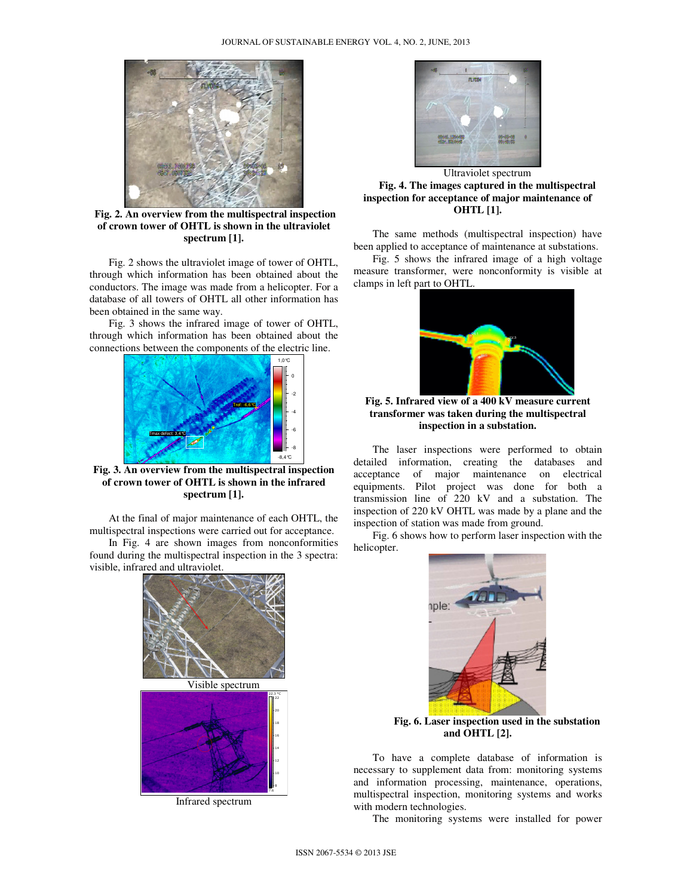

 **Fig. 2. An overview from the multispectral inspection of crown tower of OHTL is shown in the ultraviolet spectrum [1].** 

Fig. 2 shows the ultraviolet image of tower of OHTL, through which information has been obtained about the conductors. The image was made from a helicopter. For a database of all towers of OHTL all other information has been obtained in the same way.

Fig. 3 shows the infrared image of tower of OHTL, through which information has been obtained about the connections between the components of the electric line.



**Fig. 3. An overview from the multispectral inspection of crown tower of OHTL is shown in the infrared spectrum [1].** 

At the final of major maintenance of each OHTL, the multispectral inspections were carried out for acceptance.

In Fig. 4 are shown images from nonconformities found during the multispectral inspection in the 3 spectra: visible, infrared and ultraviolet.



Infrared spectrum



**Fig. 4. The images captured in the multispectral inspection for acceptance of major maintenance of OHTL [1].**

The same methods (multispectral inspection) have been applied to acceptance of maintenance at substations.

Fig. 5 shows the infrared image of a high voltage measure transformer, were nonconformity is visible at clamps in left part to OHTL.



**Fig. 5. Infrared view of a 400 kV measure current transformer was taken during the multispectral inspection in a substation.** 

The laser inspections were performed to obtain detailed information, creating the databases and acceptance of major maintenance on electrical equipments. Pilot project was done for both a transmission line of 220 kV and a substation. The inspection of 220 kV OHTL was made by a plane and the inspection of station was made from ground.

Fig. 6 shows how to perform laser inspection with the helicopter.



**Fig. 6. Laser inspection used in the substation and OHTL [2].** 

To have a complete database of information is necessary to supplement data from: monitoring systems and information processing, maintenance, operations, multispectral inspection, monitoring systems and works with modern technologies.

The monitoring systems were installed for power